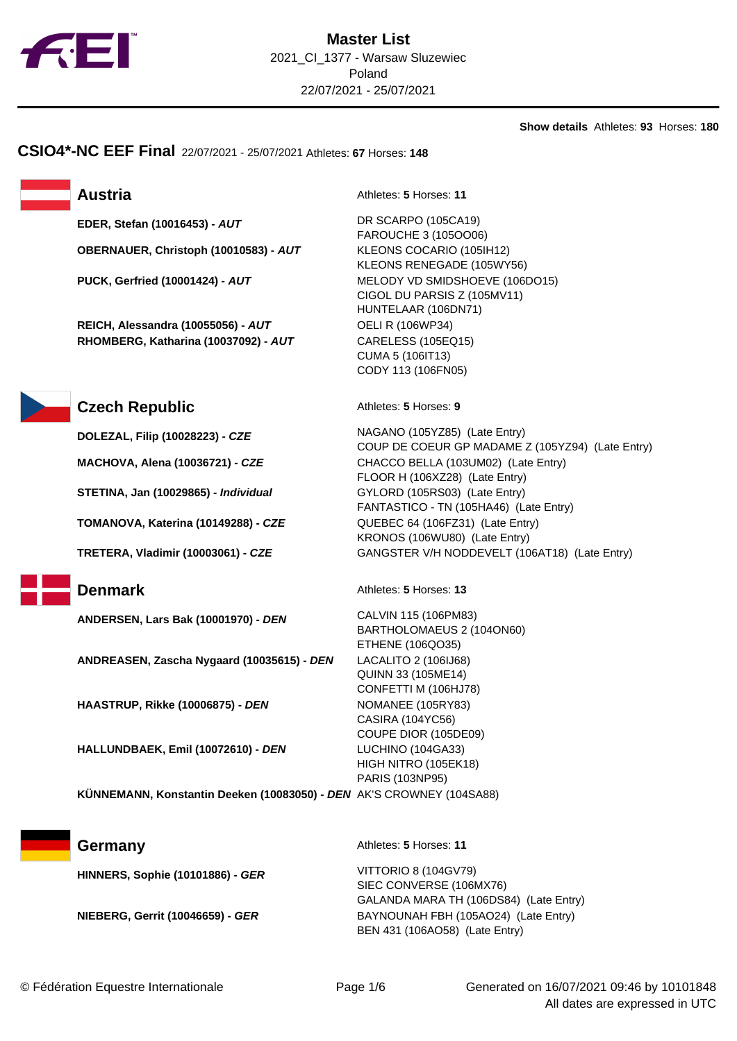

**Show details** Athletes: **93** Horses: **180**

**CSIO4\*-NC EEF Final** 22/07/2021 - 25/07/2021 Athletes: **67** Horses: **148**

**OBERNAUER, Christoph (10010583) - AUT** KLEONS COCARIO (105IH12)

**REICH, Alessandra (10055056) - AUT** OELI R (106WP34) **RHOMBERG, Katharina (10037092) - AUT** CARELESS (105EQ15)

**Austria** Athletes: **5** Horses: **11** 

**EDER, Stefan (10016453) - AUT** DR SCARPO (105CA19) FAROUCHE 3 (105OO06) KLEONS RENEGADE (105WY56) **PUCK, Gerfried (10001424) - AUT** MELODY VD SMIDSHOEVE (106DO15) CIGOL DU PARSIS Z (105MV11) HUNTELAAR (106DN71) CUMA 5 (106IT13) CODY 113 (106FN05)



## **Czech Republic** Athletes: **5** Horses: 9

**DOLEZAL, Filip (10028223) - CZE** NAGANO (105YZ85) (Late Entry) COUP DE COEUR GP MADAME Z (105YZ94) (Late Entry) **MACHOVA, Alena (10036721) - CZE** CHACCO BELLA (103UM02) (Late Entry) FLOOR H (106XZ28) (Late Entry) **STETINA, Jan (10029865) - Individual** GYLORD (105RS03) (Late Entry) FANTASTICO - TN (105HA46) (Late Entry) **TOMANOVA, Katerina (10149288) - CZE** QUEBEC 64 (106FZ31) (Late Entry) KRONOS (106WU80) (Late Entry) **TRETERA, Vladimir (10003061) - CZE** GANGSTER V/H NODDEVELT (106AT18) (Late Entry) **Denmark** Athletes: **5** Horses: **13 ANDERSEN, Lars Bak (10001970) - DEN** CALVIN 115 (106PM83)

**ANDREASEN, Zascha Nygaard (10035615) - DEN** LACALITO 2 (106IJ68)

**HAASTRUP, Rikke (10006875) - DEN** NOMANEE (105RY83)

**HALLUNDBAEK, Emil (10072610) - DEN** LUCHINO (104GA33)

BARTHOLOMAEUS 2 (104ON60) ETHENE (106QO35) QUINN 33 (105ME14) CONFETTI M (106HJ78) CASIRA (104YC56) COUPE DIOR (105DE09) HIGH NITRO (105EK18) PARIS (103NP95)

**KÜNNEMANN, Konstantin Deeken (10083050) - DEN** AK'S CROWNEY (104SA88)

**HINNERS, Sophie (10101886) - GER** VITTORIO 8 (104GV79)

**Germany** Athletes: **5** Horses: **11** 

SIEC CONVERSE (106MX76) GALANDA MARA TH (106DS84) (Late Entry) **NIEBERG, Gerrit (10046659) - GER** BAYNOUNAH FBH (105AO24) (Late Entry) BEN 431 (106AO58) (Late Entry)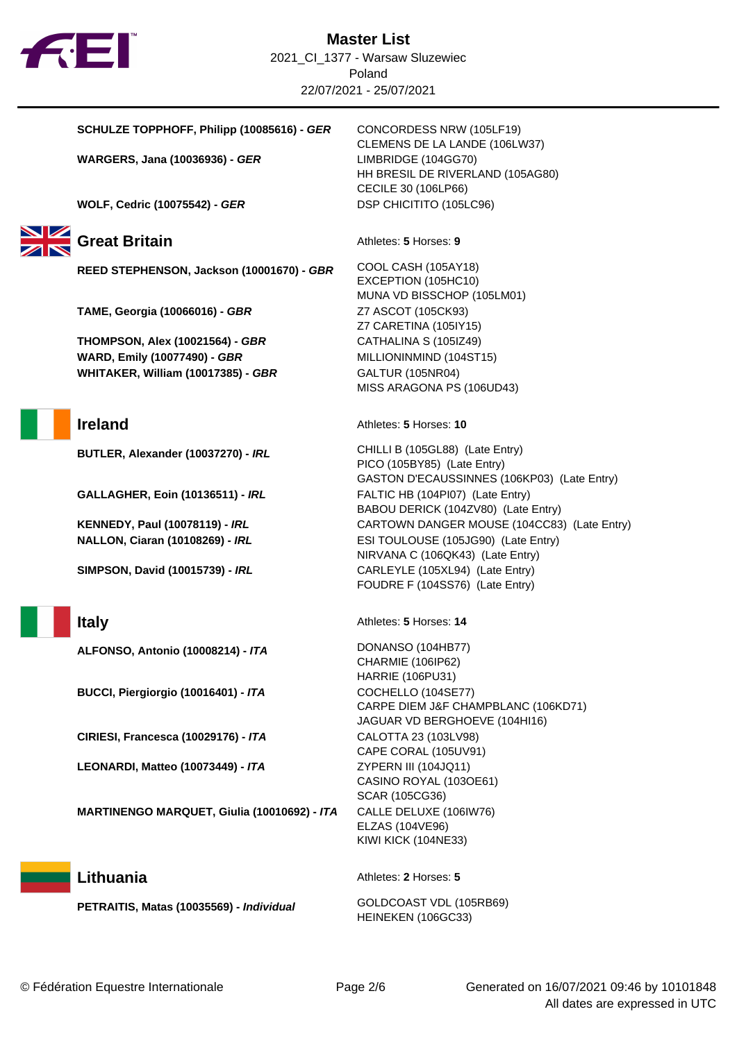

## **SCHULZE TOPPHOFF, Philipp (10085616) - GER** CONCORDESS NRW (105LF19)

**WARGERS, Jana (10036936) - GER** LIMBRIDGE (104GG70)

**WOLF, Cedric (10075542) - GER** DSP CHICITITO (105LC96)

# Great Britain **Athletes: 5** Horses: 9

**REED STEPHENSON, Jackson (10001670) - GBR** COOL CASH (105AY18)

**TAME, Georgia (10066016) - GBR** Z7 ASCOT (105CK93)

**THOMPSON, Alex (10021564) - GBR** CATHALINA S (105IZ49) **WARD, Emily (10077490) - GBR** MILLIONINMIND (104ST15) **WHITAKER, William (10017385) - GBR** GALTUR (105NR04)

**GALLAGHER, Eoin (10136511) - IRL** FALTIC HB (104PI07) (Late Entry)

**ALFONSO, Antonio (10008214) - ITA** DONANSO (104HB77)

**BUCCI, Piergiorgio (10016401) - ITA** COCHELLO (104SE77)

**CIRIESI, Francesca (10029176) - ITA** CALOTTA 23 (103LV98)

**LEONARDI, Matteo (10073449) - ITA** ZYPERN III (104JQ11)

**MARTINENGO MARQUET, Giulia (10010692) - ITA** CALLE DELUXE (106IW76)

**PETRAITIS, Matas (10035569) - Individual** GOLDCOAST VDL (105RB69)

CLEMENS DE LA LANDE (106LW37) HH BRESIL DE RIVERLAND (105AG80) CECILE 30 (106LP66)

EXCEPTION (105HC10) MUNA VD BISSCHOP (105LM01) Z7 CARETINA (105IY15) MISS ARAGONA PS (106UD43)

**Ireland** Athletes: **5** Horses: **10** 

**BUTLER, Alexander (10037270) - IRL** CHILLI B (105GL88) (Late Entry) PICO (105BY85) (Late Entry) GASTON D'ECAUSSINNES (106KP03) (Late Entry) BABOU DERICK (104ZV80) (Late Entry) **KENNEDY, Paul (10078119) - IRL CARTOWN DANGER MOUSE (104CC83) (Late Entry) NALLON, Ciaran (10108269) - IRL** ESI TOULOUSE (105JG90) (Late Entry) NIRVANA C (106QK43) (Late Entry) **SIMPSON, David (10015739) - IRL** CARLEYLE (105XL94) (Late Entry) FOUDRE F (104SS76) (Late Entry)

**Italy** Athletes: **5** Horses: **14** 

CHARMIE (106IP62) HARRIE (106PU31) CARPE DIEM J&F CHAMPBLANC (106KD71) JAGUAR VD BERGHOEVE (104HI16) CAPE CORAL (105UV91) CASINO ROYAL (103OE61) SCAR (105CG36) ELZAS (104VE96) KIWI KICK (104NE33)

## **Lithuania** Athletes: **2** Horses: **5**

HEINEKEN (106GC33)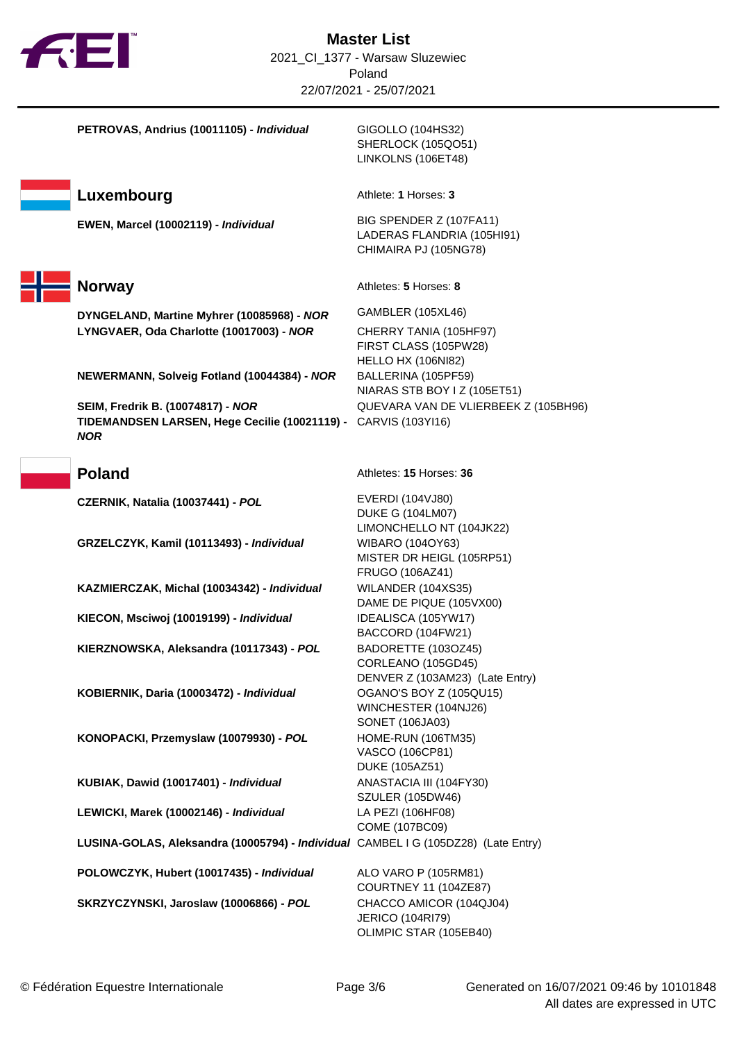

| PETROVAS, Andrius (10011105) - Individual                                          | GIGOLLO (104HS32)<br>SHERLOCK (105QO51)<br>LINKOLNS (106ET48)                  |
|------------------------------------------------------------------------------------|--------------------------------------------------------------------------------|
| Luxembourg                                                                         | Athlete: 1 Horses: 3                                                           |
| EWEN, Marcel (10002119) - Individual                                               | BIG SPENDER Z (107FA11)<br>LADERAS FLANDRIA (105HI91)<br>CHIMAIRA PJ (105NG78) |
| <b>Norway</b>                                                                      | Athletes: 5 Horses: 8                                                          |
| DYNGELAND, Martine Myhrer (10085968) - NOR                                         | GAMBLER (105XL46)                                                              |
| LYNGVAER, Oda Charlotte (10017003) - NOR                                           | CHERRY TANIA (105HF97)<br>FIRST CLASS (105PW28)<br><b>HELLO HX (106NI82)</b>   |
| NEWERMANN, Solveig Fotland (10044384) - NOR                                        | BALLERINA (105PF59)<br>NIARAS STB BOY I Z (105ET51)                            |
| SEIM, Fredrik B. (10074817) - NOR                                                  | QUEVARA VAN DE VLIERBEEK Z (105BH96)                                           |
| TIDEMANDSEN LARSEN, Hege Cecilie (10021119) - CARVIS (103YI16)<br><b>NOR</b>       |                                                                                |
| <b>Poland</b>                                                                      | Athletes: 15 Horses: 36                                                        |
| CZERNIK, Natalia (10037441) - POL                                                  | <b>EVERDI (104VJ80)</b>                                                        |
|                                                                                    | <b>DUKE G (104LM07)</b>                                                        |
|                                                                                    | LIMONCHELLO NT (104JK22)                                                       |
| GRZELCZYK, Kamil (10113493) - Individual                                           | WIBARO (104OY63)                                                               |
|                                                                                    | MISTER DR HEIGL (105RP51)<br>FRUGO (106AZ41)                                   |
| KAZMIERCZAK, Michal (10034342) - Individual                                        | WILANDER (104XS35)                                                             |
|                                                                                    | DAME DE PIQUE (105VX00)                                                        |
| KIECON, Msciwoj (10019199) - Individual                                            | IDEALISCA (105YW17)                                                            |
|                                                                                    | BACCORD (104FW21)                                                              |
| KIERZNOWSKA, Aleksandra (10117343) - POL                                           | BADORETTE (103OZ45)                                                            |
|                                                                                    | CORLEANO (105GD45)                                                             |
|                                                                                    | DENVER Z (103AM23) (Late Entry)                                                |
| KOBIERNIK, Daria (10003472) - Individual                                           | OGANO'S BOY Z (105QU15)<br>WINCHESTER (104NJ26)                                |
|                                                                                    | SONET (106JA03)                                                                |
| KONOPACKI, Przemyslaw (10079930) - POL                                             | <b>HOME-RUN (106TM35)</b>                                                      |
|                                                                                    | VASCO (106CP81)                                                                |
|                                                                                    | <b>DUKE (105AZ51)</b>                                                          |
| KUBIAK, Dawid (10017401) - Individual                                              | ANASTACIA III (104FY30)                                                        |
|                                                                                    | <b>SZULER (105DW46)</b>                                                        |
| LEWICKI, Marek (10002146) - Individual                                             | LA PEZI (106HF08)                                                              |
| LUSINA-GOLAS, Aleksandra (10005794) - Individual CAMBEL I G (105DZ28) (Late Entry) | COME (107BC09)                                                                 |
|                                                                                    |                                                                                |
| POLOWCZYK, Hubert (10017435) - Individual                                          | ALO VARO P (105RM81)                                                           |
|                                                                                    | COURTNEY 11 (104ZE87)                                                          |
| SKRZYCZYNSKI, Jaroslaw (10006866) - POL                                            | CHACCO AMICOR (104QJ04)                                                        |
|                                                                                    | <b>JERICO (104RI79)</b><br>OLIMPIC STAR (105EB40)                              |
|                                                                                    |                                                                                |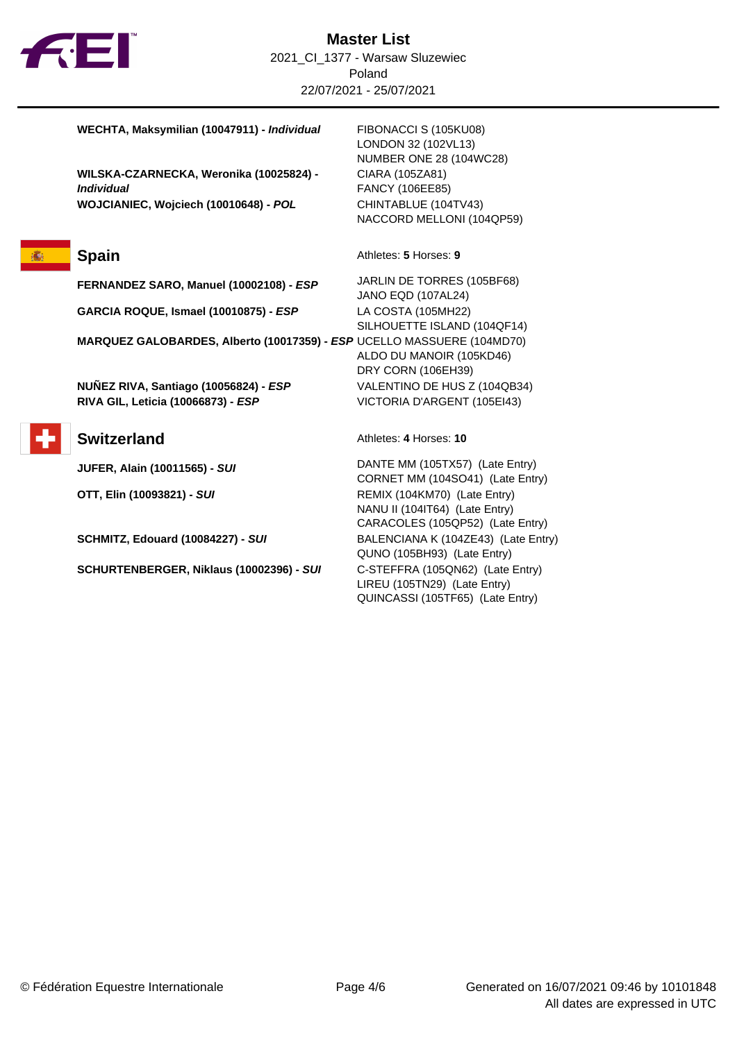

**WECHTA, Maksymilian (10047911) - Individual** FIBONACCI S (105KU08)

**WILSKA-CZARNECKA, Weronika (10025824) - Individual WOJCIANIEC, Wojciech (10010648) - POL** CHINTABLUE (104TV43)

**FERNANDEZ SARO, Manuel (10002108) - ESP** JARLIN DE TORRES (105BF68)

**GARCIA ROQUE, Ismael (10010875) - ESP** LA COSTA (105MH22)

**MARQUEZ GALOBARDES, Alberto (10017359) - ESP** UCELLO MASSUERE (104MD70)

**NUÑEZ RIVA, Santiago (10056824) - ESP** VALENTINO DE HUS Z (104QB34) **RIVA GIL, Leticia (10066873) - ESP** VICTORIA D'ARGENT (105EI43)

**SCHURTENBERGER, Niklaus (10002396) - SUI** C-STEFFRA (105QN62) (Late Entry)

LONDON 32 (102VL13) NUMBER ONE 28 (104WC28) CIARA (105ZA81) FANCY (106EE85) NACCORD MELLONI (104QP59)

**Spain** Athletes: **5** Horses: **9** 

JANO EQD (107AL24) SILHOUETTE ISLAND (104QF14) ALDO DU MANOIR (105KD46) DRY CORN (106EH39)

## **Switzerland** Athletes: 4 Horses: 10

**JUFER, Alain (10011565) - SUI** DANTE MM (105TX57) (Late Entry) CORNET MM (104SO41) (Late Entry) **OTT, Elin (10093821) - SUI** REMIX (104KM70) (Late Entry) NANU II (104IT64) (Late Entry) CARACOLES (105QP52) (Late Entry) **SCHMITZ, Edouard (10084227) - SUI** BALENCIANA K (104ZE43) (Late Entry) QUNO (105BH93) (Late Entry) LIREU (105TN29) (Late Entry) QUINCASSI (105TF65) (Late Entry)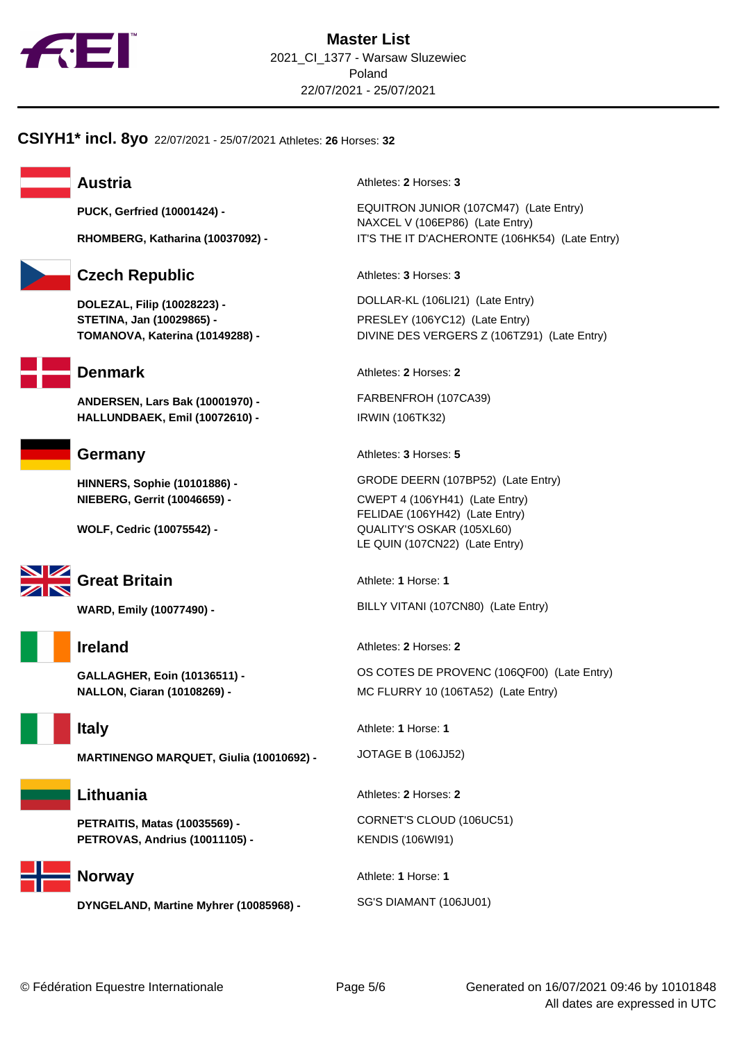

**CSIYH1\* incl. 8yo** 22/07/2021 - 25/07/2021 Athletes: **26** Horses: **32**



# **Czech Republic** Athletes: **3** Horses: **3**

**DOLEZAL, Filip (10028223) -** DOLLAR-KL (106LI21) (Late Entry) **STETINA, Jan (10029865) -** PRESLEY (106YC12) (Late Entry)



**ANDERSEN, Lars Bak (10001970) -** FARBENFROH (107CA39) **HALLUNDBAEK, Emil (10072610) -** IRWIN (106TK32)





# **Great Britain** Athlete: **1** Horse: **1**





**MARTINENGO MARQUET, Giulia (10010692) -** JOTAGE B (106JJ52)

# **Lithuania** Athletes: **2** Horses: **2**

**PETROVAS, Andrius (10011105) -** KENDIS (106WI91)



# **DYNGELAND, Martine Myhrer (10085968) - SG'S DIAMANT (106JU01)**

**Austria** Athletes: 2 Horses: 3

**PUCK, Gerfried (10001424) -** EQUITRON JUNIOR (107CM47) (Late Entry) NAXCEL V (106EP86) (Late Entry) **RHOMBERG, Katharina (10037092) -** IT'S THE IT D'ACHERONTE (106HK54) (Late Entry)

**TOMANOVA, Katerina (10149288) -** DIVINE DES VERGERS Z (106TZ91) (Late Entry)

**Denmark** Athletes: **2** Horses: **2** 

**Germany** Athletes: 3 Horses: 5

**HINNERS, Sophie (10101886) -** GRODE DEERN (107BP52) (Late Entry) **NIEBERG, Gerrit (10046659) -** CWEPT 4 (106YH41) (Late Entry) FELIDAE (106YH42) (Late Entry) **WOLF, Cedric (10075542) -** QUALITY'S OSKAR (105XL60) LE QUIN (107CN22) (Late Entry)

**WARD, Emily (10077490) -** BILLY VITANI (107CN80) (Late Entry)

**Ireland** Athletes: **2** Horses: **2** 

**GALLAGHER, Eoin (10136511) -** OS COTES DE PROVENC (106QF00) (Late Entry) **NALLON, Ciaran (10108269) -** MC FLURRY 10 (106TA52) (Late Entry)

**Italy** Athlete: **1** Horse: **1** 

**PETRAITIS, Matas (10035569) -** CORNET'S CLOUD (106UC51)

**Norway** Athlete: **1** Horse: **1**